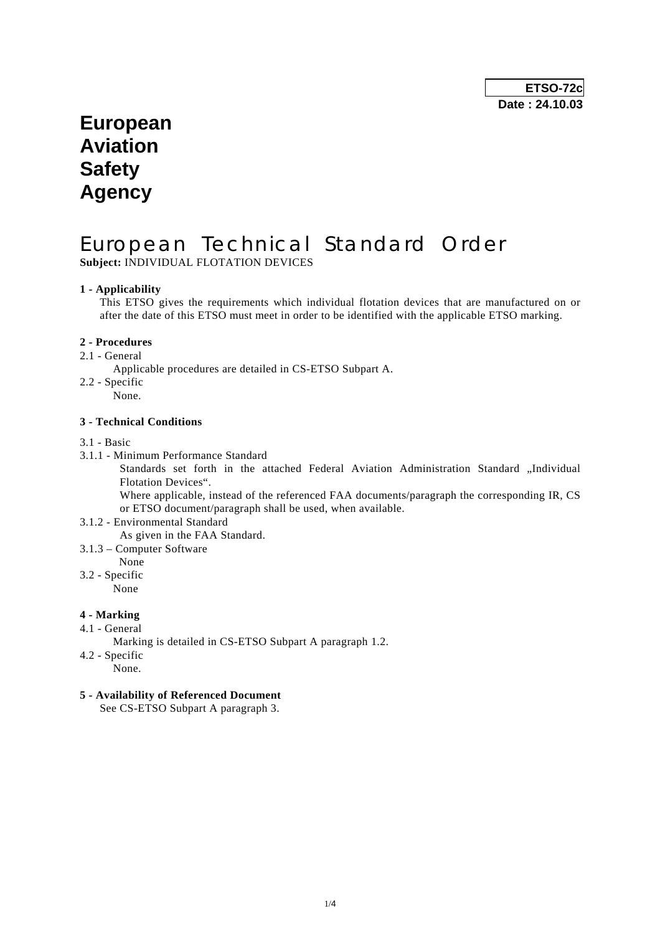## **European Aviation Safety Agency**

# European Technical Standard Order

**Subject:** INDIVIDUAL FLOTATION DEVICES

## **1 - Applicability**

 This ETSO gives the requirements which individual flotation devices that are manufactured on or after the date of this ETSO must meet in order to be identified with the applicable ETSO marking.

## **2 - Procedures**

- 2.1 General
	- Applicable procedures are detailed in CS-ETSO Subpart A.
- 2.2 Specific
	- None.

## **3 - Technical Conditions**

- 3.1 Basic
- 3.1.1 Minimum Performance Standard

Standards set forth in the attached Federal Aviation Administration Standard "Individual Flotation Devices".

 Where applicable, instead of the referenced FAA documents/paragraph the corresponding IR, CS or ETSO document/paragraph shall be used, when available.

- 3.1.2 Environmental Standard As given in the FAA Standard.
- 3.1.3 Computer Software
- None
- 3.2 Specific

None

## **4 - Marking**

- 4.1 General
	- Marking is detailed in CS-ETSO Subpart A paragraph 1.2.
- 4.2 Specific
	- None.

## **5 - Availability of Referenced Document**

See CS-ETSO Subpart A paragraph 3.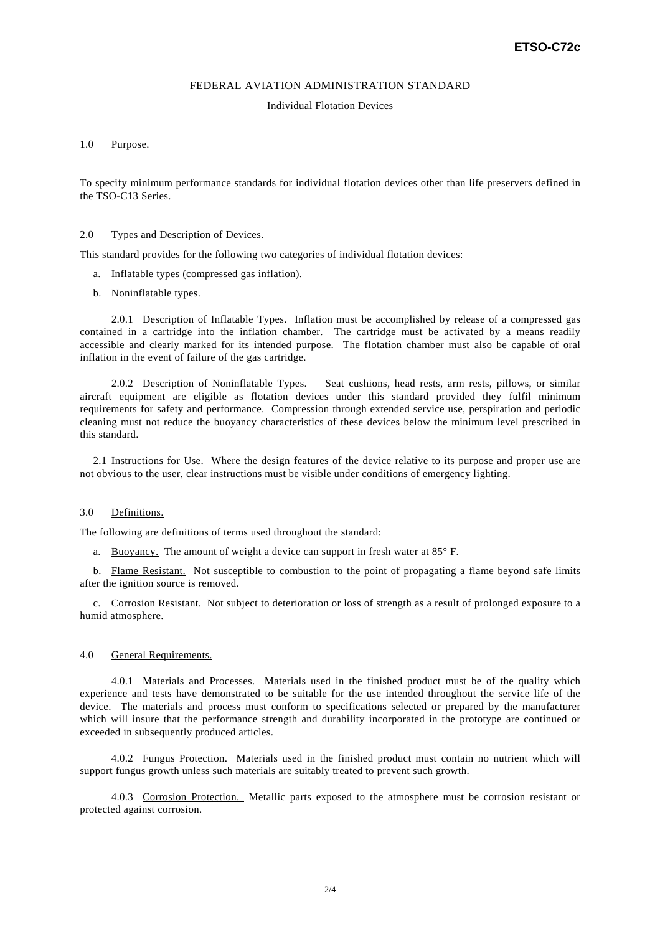#### FEDERAL AVIATION ADMINISTRATION STANDARD

#### Individual Flotation Devices

#### 1.0 Purpose.

To specify minimum performance standards for individual flotation devices other than life preservers defined in the TSO-C13 Series.

#### 2.0 Types and Description of Devices.

This standard provides for the following two categories of individual flotation devices:

- a. Inflatable types (compressed gas inflation).
- b. Noninflatable types.

 2.0.1 Description of Inflatable Types. Inflation must be accomplished by release of a compressed gas contained in a cartridge into the inflation chamber. The cartridge must be activated by a means readily accessible and clearly marked for its intended purpose. The flotation chamber must also be capable of oral inflation in the event of failure of the gas cartridge.

 2.0.2 Description of Noninflatable Types. Seat cushions, head rests, arm rests, pillows, or similar aircraft equipment are eligible as flotation devices under this standard provided they fulfil minimum requirements for safety and performance. Compression through extended service use, perspiration and periodic cleaning must not reduce the buoyancy characteristics of these devices below the minimum level prescribed in this standard.

 2.1 Instructions for Use. Where the design features of the device relative to its purpose and proper use are not obvious to the user, clear instructions must be visible under conditions of emergency lighting.

#### 3.0 Definitions.

The following are definitions of terms used throughout the standard:

a. Buoyancy. The amount of weight a device can support in fresh water at 85° F.

 b. Flame Resistant. Not susceptible to combustion to the point of propagating a flame beyond safe limits after the ignition source is removed.

 c. Corrosion Resistant. Not subject to deterioration or loss of strength as a result of prolonged exposure to a humid atmosphere.

#### 4.0 General Requirements.

 4.0.1 Materials and Processes. Materials used in the finished product must be of the quality which experience and tests have demonstrated to be suitable for the use intended throughout the service life of the device. The materials and process must conform to specifications selected or prepared by the manufacturer which will insure that the performance strength and durability incorporated in the prototype are continued or exceeded in subsequently produced articles.

 4.0.2 Fungus Protection. Materials used in the finished product must contain no nutrient which will support fungus growth unless such materials are suitably treated to prevent such growth.

 4.0.3 Corrosion Protection. Metallic parts exposed to the atmosphere must be corrosion resistant or protected against corrosion.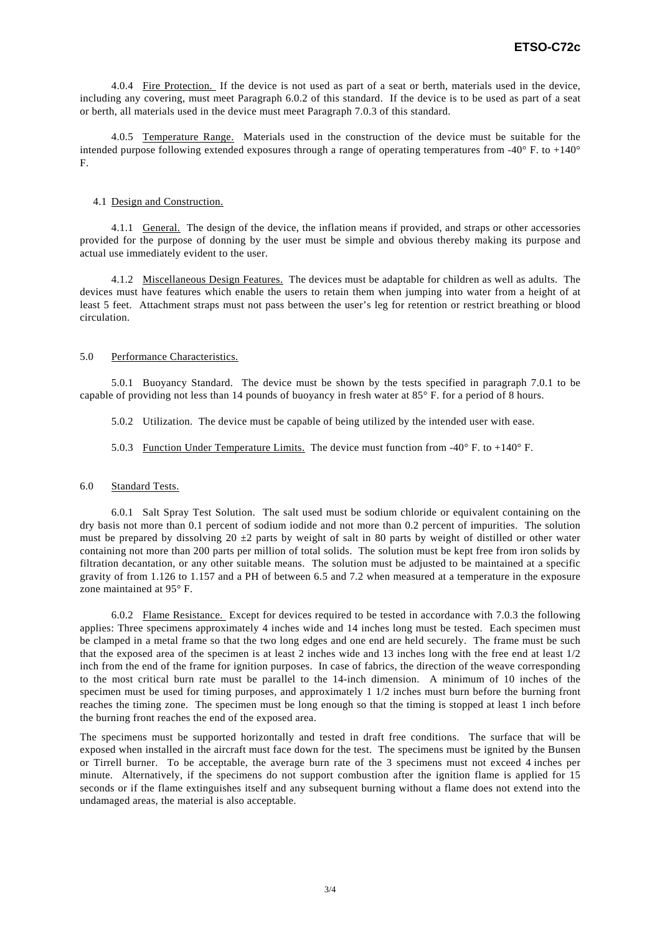4.0.4 Fire Protection. If the device is not used as part of a seat or berth, materials used in the device, including any covering, must meet Paragraph 6.0.2 of this standard. If the device is to be used as part of a seat or berth, all materials used in the device must meet Paragraph 7.0.3 of this standard.

 4.0.5 Temperature Range. Materials used in the construction of the device must be suitable for the intended purpose following extended exposures through a range of operating temperatures from -40° F. to +140° F.

#### 4.1 Design and Construction.

 4.1.1 General. The design of the device, the inflation means if provided, and straps or other accessories provided for the purpose of donning by the user must be simple and obvious thereby making its purpose and actual use immediately evident to the user.

 4.1.2 Miscellaneous Design Features. The devices must be adaptable for children as well as adults. The devices must have features which enable the users to retain them when jumping into water from a height of at least 5 feet. Attachment straps must not pass between the user's leg for retention or restrict breathing or blood circulation.

#### 5.0 Performance Characteristics.

 5.0.1 Buoyancy Standard. The device must be shown by the tests specified in paragraph 7.0.1 to be capable of providing not less than 14 pounds of buoyancy in fresh water at 85° F. for a period of 8 hours.

5.0.2 Utilization. The device must be capable of being utilized by the intended user with ease.

### 5.0.3 Function Under Temperature Limits. The device must function from -40° F. to +140° F.

#### 6.0 Standard Tests.

 6.0.1 Salt Spray Test Solution. The salt used must be sodium chloride or equivalent containing on the dry basis not more than 0.1 percent of sodium iodide and not more than 0.2 percent of impurities. The solution must be prepared by dissolving 20  $\pm$ 2 parts by weight of salt in 80 parts by weight of distilled or other water containing not more than 200 parts per million of total solids. The solution must be kept free from iron solids by filtration decantation, or any other suitable means. The solution must be adjusted to be maintained at a specific gravity of from 1.126 to 1.157 and a PH of between 6.5 and 7.2 when measured at a temperature in the exposure zone maintained at 95° F.

 6.0.2 Flame Resistance. Except for devices required to be tested in accordance with 7.0.3 the following applies: Three specimens approximately 4 inches wide and 14 inches long must be tested. Each specimen must be clamped in a metal frame so that the two long edges and one end are held securely. The frame must be such that the exposed area of the specimen is at least 2 inches wide and 13 inches long with the free end at least 1/2 inch from the end of the frame for ignition purposes. In case of fabrics, the direction of the weave corresponding to the most critical burn rate must be parallel to the 14-inch dimension. A minimum of 10 inches of the specimen must be used for timing purposes, and approximately 1 1/2 inches must burn before the burning front reaches the timing zone. The specimen must be long enough so that the timing is stopped at least 1 inch before the burning front reaches the end of the exposed area.

The specimens must be supported horizontally and tested in draft free conditions. The surface that will be exposed when installed in the aircraft must face down for the test. The specimens must be ignited by the Bunsen or Tirrell burner. To be acceptable, the average burn rate of the 3 specimens must not exceed 4 inches per minute. Alternatively, if the specimens do not support combustion after the ignition flame is applied for 15 seconds or if the flame extinguishes itself and any subsequent burning without a flame does not extend into the undamaged areas, the material is also acceptable.